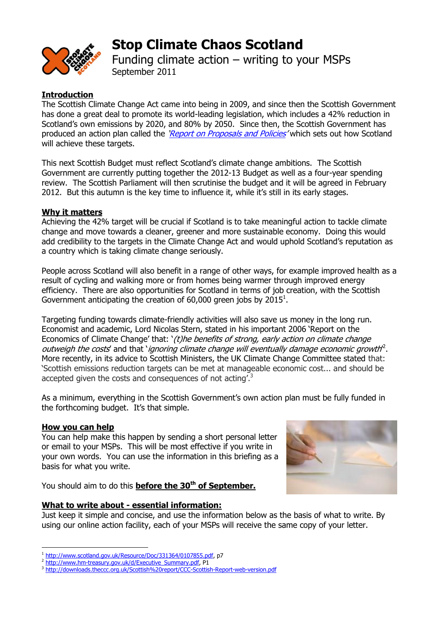

# **Stop Climate Chaos Scotland**

Funding climate action – writing to your MSPs September 2011

# **Introduction**

The Scottish Climate Change Act came into being in 2009, and since then the Scottish Government has done a great deal to promote its world-leading legislation, which includes a 42% reduction in Scotland's own emissions by 2020, and 80% by 2050. Since then, the Scottish Government has produced an action plan called the '[Report on Proposals and Policies](http://www.scotland.gov.uk/Resource/Doc/346760/0115345.pdf)' which sets out how Scotland will achieve these targets.

This next Scottish Budget must reflect Scotland's climate change ambitions. The Scottish Government are currently putting together the 2012-13 Budget as well as a four-year spending review. The Scottish Parliament will then scrutinise the budget and it will be agreed in February 2012. But this autumn is the key time to influence it, while it's still in its early stages.

## **Why it matters**

Achieving the 42% target will be crucial if Scotland is to take meaningful action to tackle climate change and move towards a cleaner, greener and more sustainable economy. Doing this would add credibility to the targets in the Climate Change Act and would uphold Scotland's reputation as a country which is taking climate change seriously.

People across Scotland will also benefit in a range of other ways, for example improved health as a result of cycling and walking more or from homes being warmer through improved energy efficiency. There are also opportunities for Scotland in terms of job creation, with the Scottish Government anticipating the creation of 60,000 green jobs by 2015<sup>1</sup>.

Targeting funding towards climate-friendly activities will also save us money in the long run. Economist and academic, Lord Nicolas Stern, stated in his important 2006 'Report on the Economics of Climate Change' that: '(t)he benefits of strong, early action on climate change outweigh the costs' and that 'ignoring climate change will eventually damage economic growth<sup>2</sup>. More recently, in its advice to Scottish Ministers, the UK Climate Change Committee stated that: 'Scottish emissions reduction targets can be met at manageable economic cost... and should be accepted given the costs and consequences of not acting'.<sup>3</sup>

As a minimum, everything in the Scottish Government's own action plan must be fully funded in the forthcoming budget. It's that simple.

#### **How you can help**

You can help make this happen by sending a short personal letter or email to your MSPs. This will be most effective if you write in your own words. You can use the information in this briefing as a basis for what you write.

You should aim to do this **before the 30th of September.**

#### **What to write about - essential information:**

Just keep it simple and concise, and use the information below as the basis of what to write. By using our online action facility, each of your MSPs will receive the same copy of your letter.

<sup>&</sup>lt;u>.</u> <sup>1</sup> [http://www.scotland.gov.uk/Resource/Doc/331364/0107855.pdf,](http://www.scotland.gov.uk/Resource/Doc/331364/0107855.pdf) p7

<sup>&</sup>lt;sup>2</sup> [http://www.hm-treasury.gov.uk/d/Executive\\_Summary.pdf,](http://www.hm-treasury.gov.uk/d/Executive_Summary.pdf) P1<br>3 http://downloads.theccs.org.uk/Scottish%20report/CCC-Scottis

<http://downloads.theccc.org.uk/Scottish%20report/CCC-Scottish-Report-web-version.pdf>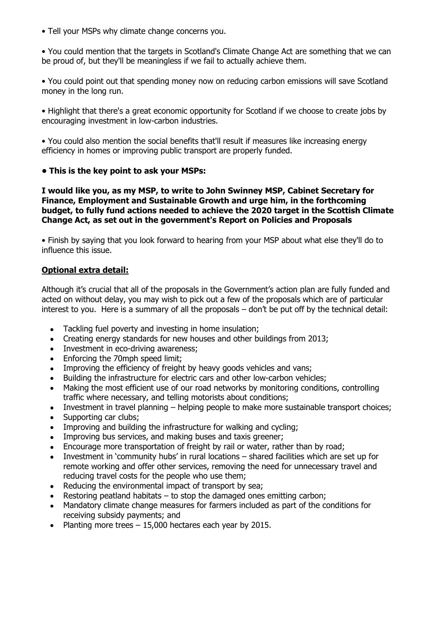• Tell your MSPs why climate change concerns you.

• You could mention that the targets in Scotland's Climate Change Act are something that we can be proud of, but they'll be meaningless if we fail to actually achieve them.

• You could point out that spending money now on reducing carbon emissions will save Scotland money in the long run.

• Highlight that there's a great economic opportunity for Scotland if we choose to create jobs by encouraging investment in low-carbon industries.

• You could also mention the social benefits that'll result if measures like increasing energy efficiency in homes or improving public transport are properly funded.

## **• This is the key point to ask your MSPs:**

**I would like you, as my MSP, to write to John Swinney MSP, Cabinet Secretary for Finance, Employment and Sustainable Growth and urge him, in the forthcoming budget, to fully fund actions needed to achieve the 2020 target in the Scottish Climate Change Act, as set out in the government's Report on Policies and Proposals**

• Finish by saying that you look forward to hearing from your MSP about what else they'll do to influence this issue.

# **Optional extra detail:**

Although it's crucial that all of the proposals in the Government's action plan are fully funded and acted on without delay, you may wish to pick out a few of the proposals which are of particular interest to you. Here is a summary of all the proposals – don't be put off by the technical detail:

- Tackling fuel poverty and investing in home insulation;  $\bullet$
- Creating energy standards for new houses and other buildings from 2013;
- Investment in eco-driving awareness;
- Enforcing the 70mph speed limit;
- Improving the efficiency of freight by heavy goods vehicles and vans;
- Building the infrastructure for electric cars and other low-carbon vehicles;
- Making the most efficient use of our road networks by monitoring conditions, controlling traffic where necessary, and telling motorists about conditions;
- Investment in travel planning helping people to make more sustainable transport choices;
- Supporting car clubs;
- Improving and building the infrastructure for walking and cycling;
- Improving bus services, and making buses and taxis greener;
- Encourage more transportation of freight by rail or water, rather than by road;
- Investment in 'community hubs' in rural locations shared facilities which are set up for remote working and offer other services, removing the need for unnecessary travel and reducing travel costs for the people who use them;
- Reducing the environmental impact of transport by sea;
- Restoring peatland habitats to stop the damaged ones emitting carbon;
- Mandatory climate change measures for farmers included as part of the conditions for receiving subsidy payments; and
- Planting more trees 15,000 hectares each year by 2015. $\bullet$